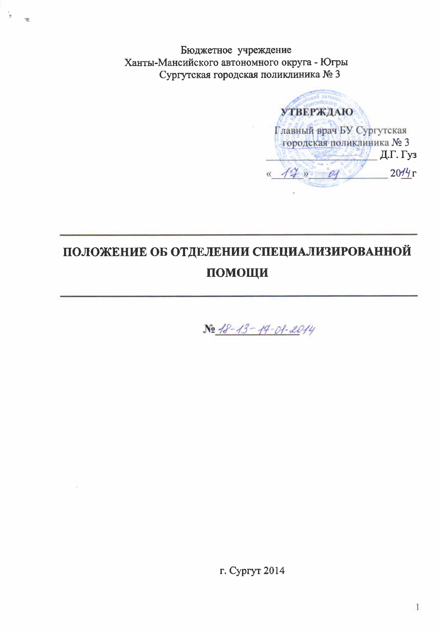Бюджетное учреждение Ханты-Мансийского автономного округа - Югры Сургутская городская поликлиника № 3

**УТВЕРЖДАЮ** Главный врач БУ Сургутская городская поликлиника № 3 Д.Г. Гуз « 14 80000  $20/4r$ 

# ПОЛОЖЕНИЕ ОБ ОТДЕЛЕНИИ СПЕЦИАЛИЗИРОВАННОЙ ПОМОЩИ

No 18-13-14-01-2014

г. Сургут 2014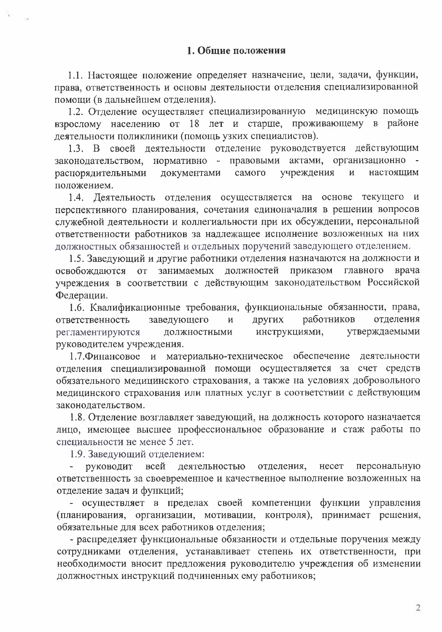1.1. Настоящее положение определяет назначение, цели, задачи, функции, права, ответственность и основы деятельности отделения специализированной помощи (в дальнейшем отделения).

1.2. Отделение осуществляет специализированную медицинскую помощь взрослому населению от 18 лет и старше, проживающему в районе деятельности поликлиники (помощь узких специалистов).

1.3. В своей деятельности отделение руководствуется действующим законодательством, нормативно - правовыми актами, организационно учреждения распорядительными документами самого настоящим  $\overline{M}$ положением.

1.4. Деятельность отделения осуществляется на основе текущего и перспективного планирования, сочетания единоначалия в решении вопросов служебной деятельности и коллегиальности при их обсуждении, персональной ответственности работников за надлежащее исполнение возложенных на них должностных обязанностей и отдельных поручений заведующего отделением.

1.5. Заведующий и другие работники отделения назначаются на должности и должностей приказом главного врача освобождаются от занимаемых учреждения в соответствии с действующим законодательством Российской Федерации.

1.6. Квалификационные требования, функциональные обязанности, права, заведующего других работников ответственность отделения  $\mathbf{M}$ регламентируются должностными инструкциями, утверждаемыми руководителем учреждения.

1.7. Финансовое и материально-техническое обеспечение деятельности отделения специализированной помощи осуществляется за счет средств обязательного медицинского страхования, а также на условиях добровольного медицинского страхования или платных услуг в соответствии с действующим законодательством.

1.8. Отделение возглавляет заведующий, на должность которого назначается лицо, имеющее высшее профессиональное образование и стаж работы по специальности не менее 5 лет.

1.9. Заведующий отделением:

деятельностью отделения, несет персональную - руководит всей ответственность за своевременное и качественное выполнение возложенных на отделение задач и функций;

- осуществляет в пределах своей компетенции функции управления (планирования, организации, мотивации, контроля), принимает решения, обязательные для всех работников отделения;

- распределяет функциональные обязанности и отдельные поручения между сотрудниками отделения, устанавливает степень их ответственности, при необходимости вносит предложения руководителю учреждения об изменении должностных инструкций подчиненных ему работников;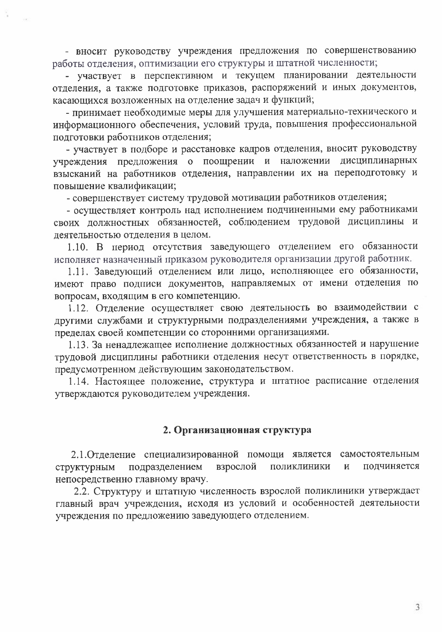- вносит руководству учреждения предложения по совершенствованию работы отделения, оптимизации его структуры и штатной численности;

- участвует в перспективном и текущем планировании деятельности отделения, а также подготовке приказов, распоряжений и иных документов, касающихся возложенных на отделение задач и функций;

- принимает необходимые меры для улучшения материально-технического и информационного обеспечения, условий труда, повышения профессиональной подготовки работников отделения;

- участвует в подборе и расстановке кадров отделения, вносит руководству учреждения предложения о поощрении и наложении дисциплинарных взысканий на работников отделения, направлении их на переподготовку и повышение квалификации;

- совершенствует систему трудовой мотивации работников отделения;

- осуществляет контроль над исполнением подчиненными ему работниками своих должностных обязанностей, соблюдением трудовой дисциплины и деятельностью отделения в целом.

1.10. В период отсутствия заведующего отделением его обязанности исполняет назначенный приказом руководителя организации другой работник.

1.11. Заведующий отделением или лицо, исполняющее его обязанности, имеют право подписи документов, направляемых от имени отделения по вопросам, входящим в его компетенцию.

1.12. Отделение осуществляет свою деятельность во взаимодействии с другими службами и структурными подразделениями учреждения, а также в пределах своей компетенции со сторонними организациями.

1.13. За ненадлежащее исполнение должностных обязанностей и нарушение трудовой дисциплины работники отделения несут ответственность в порядке, предусмотренном действующим законодательством.

1.14. Настоящее положение, структура и штатное расписание отделения утверждаются руководителем учреждения.

## 2. Организационная структура

2.1. Отделение специализированной помощи является самостоятельным подразделением взрослой поликлиники подчиняется структурным  $\mathbf{M}$ непосредственно главному врачу.

2.2. Структуру и штатную численность взрослой поликлиники утверждает главный врач учреждения, исходя из условий и особенностей деятельности учреждения по предложению заведующего отделением.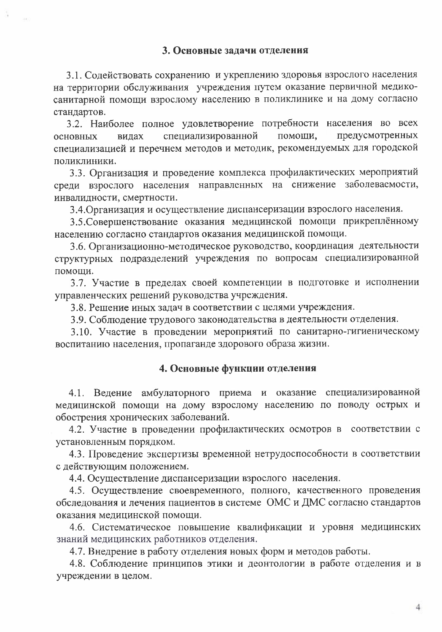3.1. Содействовать сохранению и укреплению здоровья взрослого населения на территории обслуживания учреждения путем оказание первичной медикосанитарной помощи взрослому населению в поликлинике и на дому согласно стандартов.

3.2. Наиболее полное удовлетворение потребности населения во всех специализированной помощи, предусмотренных видах основных специализацией и перечнем методов и методик, рекомендуемых для городской поликлиники.

3.3. Организация и проведение комплекса профилактических мероприятий среди взрослого населения направленных на снижение заболеваемости, инвалидности, смертности.

3.4. Организация и осуществление диспансеризации взрослого населения.

3.5. Совершенствование оказания медицинской помощи прикреплённому населению согласно стандартов оказания медицинской помощи.

3.6. Организационно-методическое руководство, координация деятельности структурных подразделений учреждения по вопросам специализированной помощи.

3.7. Участие в пределах своей компетенции в подготовке и исполнении управленческих решений руководства учреждения.

3.8. Решение иных задач в соответствии с целями учреждения.

3.9. Соблюдение трудового законодательства в деятельности отделения.

3.10. Участие в проведении мероприятий по санитарно-гигиеническому воспитанию населения, пропаганде здорового образа жизни.

# 4. Основные функции отделения

4.1. Ведение амбулаторного приема и оказание специализированной медицинской помощи на дому взрослому населению по поводу острых и обострения хронических заболеваний.

4.2. Участие в проведении профилактических осмотров в соответствии с установленным порядком.

4.3. Проведение экспертизы временной нетрудоспособности в соответствии с действующим положением.

4.4. Осуществление диспансеризации взрослого населения.

4.5. Осуществление своевременного, полного, качественного проведения обследования и лечения пациентов в системе ОМС и ДМС согласно стандартов оказания медицинской помощи.

4.6. Систематическое повышение квалификации и уровня медицинских знаний медицинских работников отделения.

4.7. Внедрение в работу отделения новых форм и методов работы.

4.8. Соблюдение принципов этики и деонтологии в работе отделения и в учреждении в целом.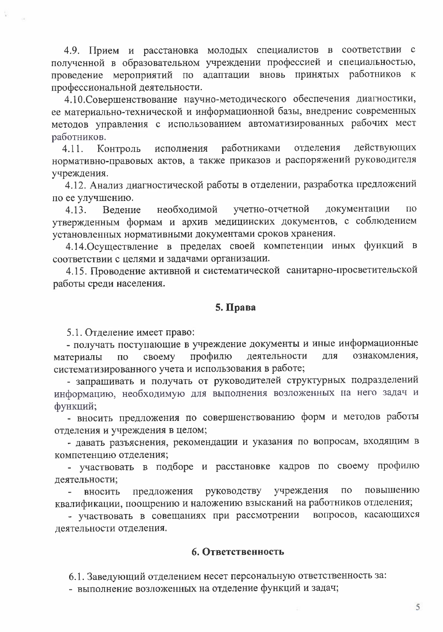4.9. Прием и расстановка молодых специалистов в соответствии с полученной в образовательном учреждении профессией и специальностью, проведение мероприятий по адаптации вновь принятых работников к профессиональной деятельности.

4.10. Совершенствование научно-методического обеспечения диагностики, ее материально-технической и информационной базы, внедрение современных методов управления с использованием автоматизированных рабочих мест работников.

работниками отделения действующих  $4.11.$ исполнения Контроль нормативно-правовых актов, а также приказов и распоряжений руководителя учреждения.

4.12. Анализ диагностической работы в отделении, разработка предложений по ее улучшению.

необходимой учетно-отчетной документации  $\Pi$ <sup>O</sup>  $4.13.$ Ведение утвержденным формам и архив медицинских документов, с соблюдением установленных нормативными документами сроков хранения.

4.14. Осуществление в пределах своей компетенции иных функций в соответствии с целями и задачами организации.

4.15. Проводение активной и систематической санитарно-просветительской работы среди населения.

### 5. Права

5.1. Отделение имеет право:

- получать поступающие в учреждение документы и иные информационные ознакомления, для профилю деятельности материалы  $\Pi$ <sup>O</sup> своему систематизированного учета и использования в работе;

- запрашивать и получать от руководителей структурных подразделений информацию, необходимую для выполнения возложенных на него задач и функций;

- вносить предложения по совершенствованию форм и методов работы отделения и учреждения в целом;

- давать разъяснения, рекомендации и указания по вопросам, входящим в компетенцию отделения;

- участвовать в подборе и расстановке кадров по своему профилю деятельности;

учреждения  $\overline{10}$ повышению руководству предложения вносить квалификации, поощрению и наложению взысканий на работников отделения;

- участвовать в совещаниях при рассмотрении вопросов, касающихся деятельности отделения.

#### 6. Ответственность

6.1. Заведующий отделением несет персональную ответственность за:

- выполнение возложенных на отделение функций и задач;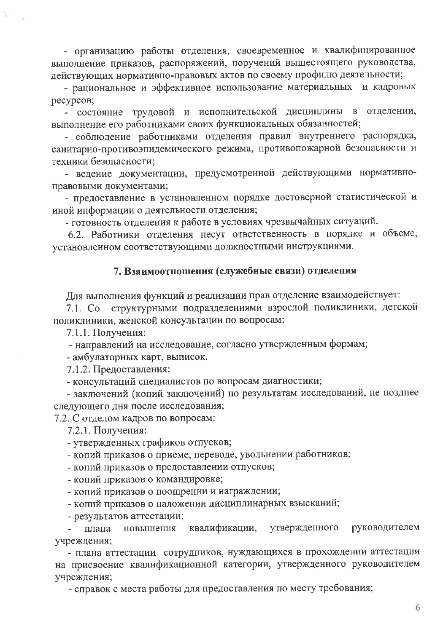- организацию работы отделения, своевременное и квалифицированное выполнение приказов, распоряжений, поручений вышестоящего руководства, действующих нормативно-правовых актов по своему профилю деятельности;

- рациональное и эффективное использование материальных и кадровых pecypcoB;

- состояние трудовой и исполнительской дисциплины в отделении, выполнение его работниками своих функциональных обязанностей;

- соблюдение работниками отделения правил внутреннего распорядка, санитарно-противоэпидемического режима, противопожарной безопасности и техники безопасности;

- ведение документации, предусмотренной действующими нормативноправовыми документами;

- предоставление в установленном порядке достоверной статистической и иной информации о деятельности отделения;

- готовность отделения к работе в условиях чрезвычайных ситуаций.

6.2. Работники отделения несут ответственность в порядке и объеме, установленном соответствующими должностными инструкциями.

#### 7. Взаимоотношения (служебные связи) отделения

Для выполнения функций и реализации прав отделение взаимодействует:

структурными подразделениями взрослой поликлиники, детской 7.1. Co поликлиники, женской консультации по вопросам:

7.1.1. Получения:

- направлений на исследование, согласно утвержденным формам;

- амбулаторных карт, выписок.

7.1.2. Предоставления:

- консультаций специалистов по вопросам диагностики;

- заключений (копий заключений) по результатам исследований, не позднее следующего дня после исследования;

7.2. С отделом кадров по вопросам:

7.2.1. Получения:

- утвержденных графиков отпусков;

- копий приказов о приеме, переводе, увольнении работников;

- копий приказов о предоставлении отпусков;

- копий приказов о командировке;

- копий приказов о поощрении и награждении;

- копий приказов о наложении дисциплинарных взысканий;

- результатов аттестации;

квалификации, утвержденного руководителем плана повышения  $\frac{1}{2}$  . учреждения;

- плана аттестации сотрудников, нуждающихся в прохождении аттестации на присвоение квалификационной категории, утвержденного руководителем учреждения;

- справок с места работы для предоставления по месту требования;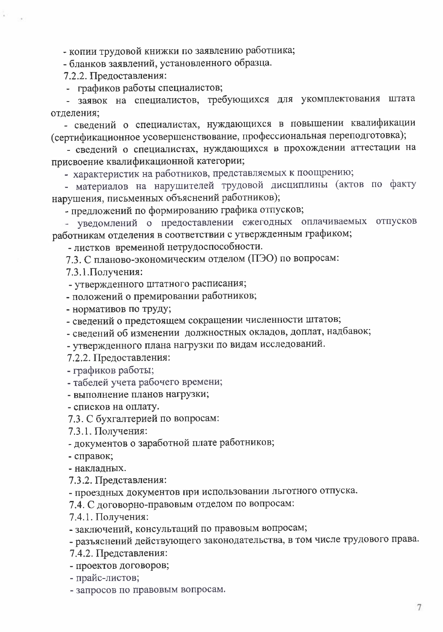- копии трудовой книжки по заявлению работника;

- бланков заявлений, установленного образца.

7.2.2. Предоставления:

- графиков работы специалистов;

- заявок на специалистов, требующихся для укомплектования штата отделения;

- сведений о специалистах, нуждающихся в повышении квалификации (сертификационное усовершенствование, профессиональная переподготовка);

- сведений о специалистах, нуждающихся в прохождении аттестации на присвоение квалификационной категории;

- характеристик на работников, представляемых к поощрению;

- материалов на нарушителей трудовой дисциплины (актов по факту нарушения, письменных объяснений работников);

- предложений по формированию графика отпусков;

- уведомлений о предоставлении ежегодных оплачиваемых отпусков работникам отделения в соответствии с утвержденным графиком;

- листков временной нетрудоспособности.

7.3. С планово-экономическим отделом (ПЭО) по вопросам:

7.3.1. Получения:

- утвержденного штатного расписания;

- положений о премировании работников;

- нормативов по труду;

- сведений о предстоящем сокращении численности штатов;

- сведений об изменении должностных окладов, доплат, надбавок;

- утвержденного плана нагрузки по видам исследований.

7.2.2. Предоставления:

- графиков работы;

- табелей учета рабочего времени;

- выполнение планов нагрузки;

- списков на оплату.

7.3. С бухгалтерией по вопросам:

7.3.1. Получения:

- документов о заработной плате работников;

- справок;

- накладных.

7.3.2. Представления:

- проездных документов при использовании льготного отпуска.

7.4. С договорно-правовым отделом по вопросам:

7.4.1. Получения:

- заключений, консультаций по правовым вопросам;

- разъяснений действующего законодательства, в том числе трудового права.

7.4.2. Представления:

- проектов договоров;

- прайс-листов;

- запросов по правовым вопросам.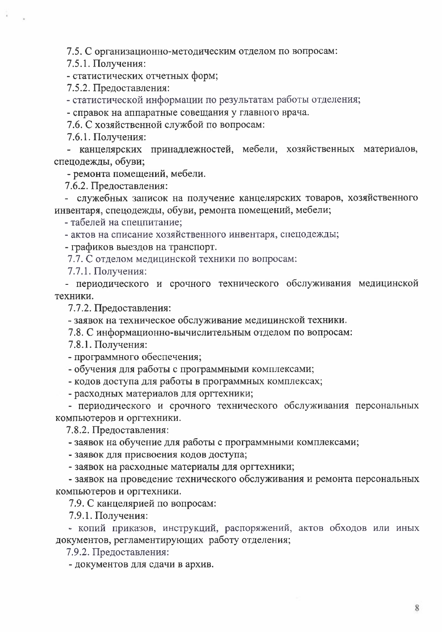7.5. С организационно-методическим отделом по вопросам:

7.5.1. Получения:

- статистических отчетных форм;

7.5.2. Предоставления:

- статистической информации по результатам работы отделения;

- справок на аппаратные совещания у главного врача.

7.6. С хозяйственной службой по вопросам:

7.6.1. Получения:

- канцелярских принадлежностей, мебели, хозяйственных материалов, спецодежды, обуви;

- ремонта помещений, мебели.

7.6.2. Предоставления:

- служебных записок на получение канцелярских товаров, хозяйственного инвентаря, спецодежды, обуви, ремонта помещений, мебели;

- табелей на спецпитание;

- актов на списание хозяйственного инвентаря, спецодежды;

- графиков выездов на транспорт.

7.7. С отделом медицинской техники по вопросам:

7.7.1. Получения:

- периодического и срочного технического обслуживания медицинской техники.

7.7.2. Предоставления:

- заявок на техническое обслуживание медицинской техники.

7.8. С информационно-вычислительным отделом по вопросам:

7.8.1. Получения:

- программного обеспечения;

- обучения для работы с программными комплексами;

- кодов доступа для работы в программных комплексах;

- расходных материалов для оргтехники;

- периодического и срочного технического обслуживания персональных компьютеров и оргтехники.

7.8.2. Предоставления:

- заявок на обучение для работы с программными комплексами;

- заявок для присвоения кодов доступа;

- заявок на расходные материалы для оргтехники;

- заявок на проведение технического обслуживания и ремонта персональных компьютеров и оргтехники.

7.9. С канцелярией по вопросам:

7.9.1. Получения:

- копий приказов, инструкций, распоряжений, актов обходов или иных документов, регламентирующих работу отделения;

7.9.2. Предоставления:

- документов для сдачи в архив.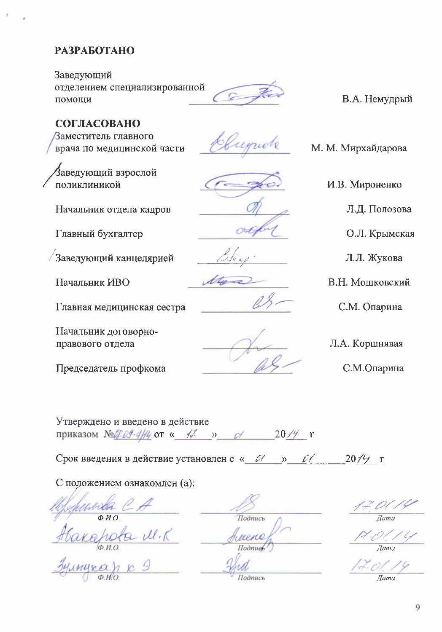# **РАЗРАБОТАНО**

Заведующий отделением специализированной помощи

В.А. Немудрый

М. М. Мирхайдарова

И.В. Мироненко

Л.Д. Полозова

О.Л. Крымская

Л.Л. Жукова

В.Н. Мошковский

## СОГЛАСОВАНО

Заместитель главного врача по медицинской части

,<br>Заведующий взрослой поликлиникой

Начальник отдела кадров

Главный бухгалтер

Заведующий канцелярией

Начальник ИВО

Главная медицинская сестра

Начальник договорноправового отдела

Председатель профкома

equele



С.М. Опарина

Л.А. Коршнявая

С.М.Опарина

Утверждено и введено в действие приказом № № 29-4/4 от « 47 » о 2019 г

Срок введения в действие установлен с « 0 / » 0 /  $20/7$   $\Gamma$ 

С положением ознакомлен (а):

Kapola M.K

Подпись reno **Hodnue** Подпись

**Hama** 

 $\bar{I}$ ama

 $\overline{I}$ ama